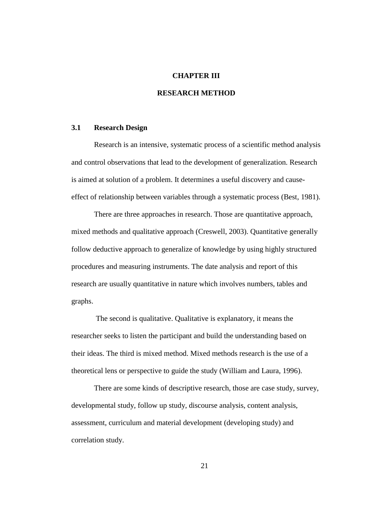### **CHAPTER III**

## **RESEARCH METHOD**

### **3.1 Research Design**

Research is an intensive, systematic process of a scientific method analysis and control observations that lead to the development of generalization. Research is aimed at solution of a problem. It determines a useful discovery and causeeffect of relationship between variables through a systematic process (Best, 1981).

There are three approaches in research. Those are quantitative approach, mixed methods and qualitative approach (Creswell, 2003). Quantitative generally follow deductive approach to generalize of knowledge by using highly structured procedures and measuring instruments. The date analysis and report of this research are usually quantitative in nature which involves numbers, tables and graphs.

The second is qualitative. Qualitative is explanatory, it means the researcher seeks to listen the participant and build the understanding based on their ideas. The third is mixed method. Mixed methods research is the use of a theoretical lens or perspective to guide the study (William and Laura, 1996).

There are some kinds of descriptive research, those are case study, survey, developmental study, follow up study, discourse analysis, content analysis, assessment, curriculum and material development (developing study) and correlation study.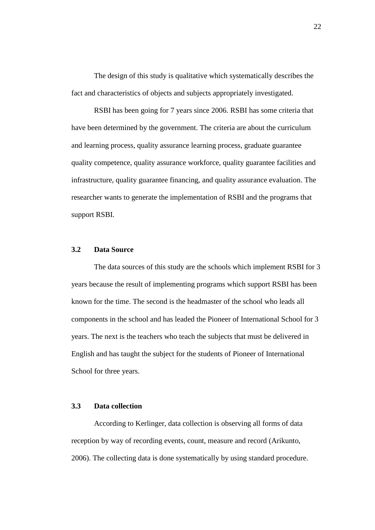The design of this study is qualitative which systematically describes the fact and characteristics of objects and subjects appropriately investigated.

RSBI has been going for 7 years since 2006. RSBI has some criteria that have been determined by the government. The criteria are about the curriculum and learning process, quality assurance learning process, graduate guarantee quality competence, quality assurance workforce, quality guarantee facilities and infrastructure, quality guarantee financing, and quality assurance evaluation. The researcher wants to generate the implementation of RSBI and the programs that support RSBI.

### **3.2 Data Source**

The data sources of this study are the schools which implement RSBI for 3 years because the result of implementing programs which support RSBI has been known for the time. The second is the headmaster of the school who leads all components in the school and has leaded the Pioneer of International School for 3 years. The next is the teachers who teach the subjects that must be delivered in English and has taught the subject for the students of Pioneer of International School for three years.

# **3.3 Data collection**

According to Kerlinger, data collection is observing all forms of data reception by way of recording events, count, measure and record (Arikunto, 2006). The collecting data is done systematically by using standard procedure.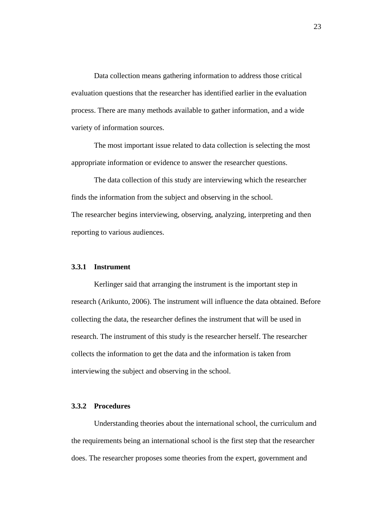Data collection means gathering information to address those critical evaluation questions that the researcher has identified earlier in the evaluation process. There are many methods available to gather information, and a wide variety of information sources.

The most important issue related to data collection is selecting the most appropriate information or evidence to answer the researcher questions.

The data collection of this study are interviewing which the researcher finds the information from the subject and observing in the school. The researcher begins interviewing, observing, analyzing, interpreting and then reporting to various audiences.

### **3.3.1 Instrument**

Kerlinger said that arranging the instrument is the important step in research (Arikunto, 2006). The instrument will influence the data obtained. Before collecting the data, the researcher defines the instrument that will be used in research. The instrument of this study is the researcher herself. The researcher collects the information to get the data and the information is taken from interviewing the subject and observing in the school.

### **3.3.2 Procedures**

Understanding theories about the international school, the curriculum and the requirements being an international school is the first step that the researcher does. The researcher proposes some theories from the expert, government and